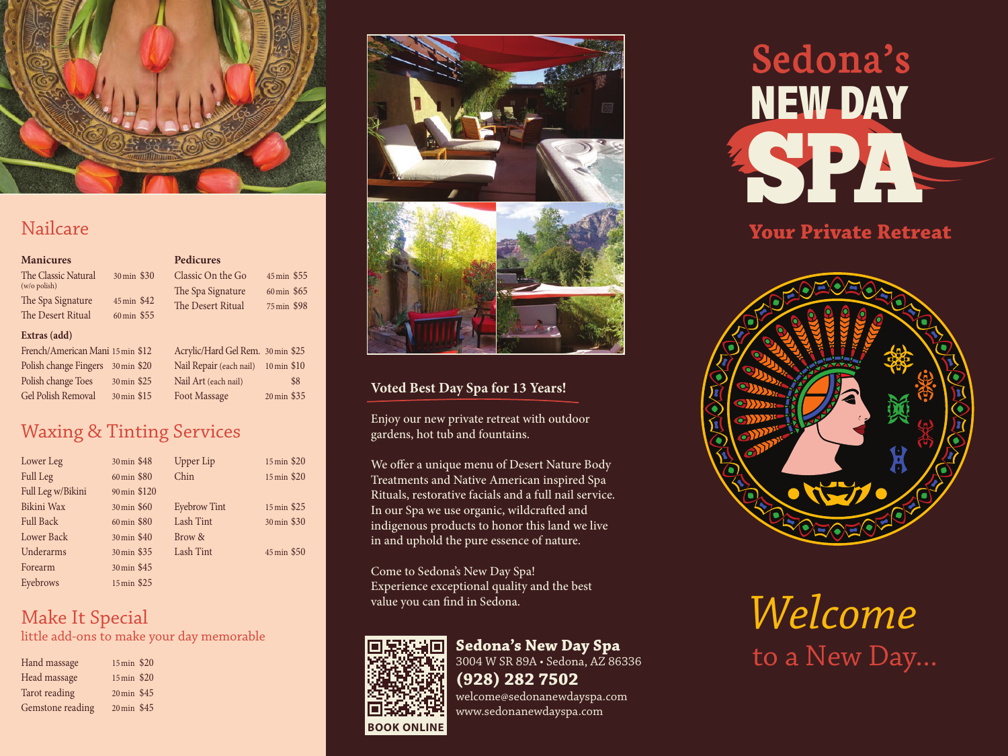

## Nailcare

### **Manicures**

The Classic Natural 30min \$30 (w/o polish) The Spa Signature 45 min \$42 The Desert Ritual 60 min \$55 Classic On the Go 45min \$55 The Spa Signature 60 min \$65 The Desert Ritual 75 min \$98

**Pedicures**

#### **Extras (add)**

French/American Mani 15min \$12 Polish change Fingers 30min \$20 Polish change Toes 30 min \$25 Gel Polish Removal 30min \$15

Acrylic/Hard Gel Rem. 30min \$25 Nail Repair (each nail) 10min \$10 Nail Art (each nail) \$8 Foot Massage 20 min \$35

## Waxing & Tinting Services

| Lower Leg         | 30 min \$48  | <b>Upper Lip</b>    | 15 min \$20 |
|-------------------|--------------|---------------------|-------------|
| <b>Full Leg</b>   | 60 min \$80  | Chin                | 15 min \$20 |
| Full Leg w/Bikini | 90 min \$120 |                     |             |
| Bikini Wax        | 30 min \$60  | <b>Eyebrow Tint</b> | 15 min \$25 |
| <b>Full Back</b>  | 60 min \$80  | Lash Tint           | 30 min \$30 |
| <b>Lower Back</b> | 30 min \$40  | Brow &              |             |
| Underarms         | 30 min \$35  | Lash Tint           | 45 min \$50 |
| Forearm           | 30 min \$45  |                     |             |
| Eyebrows          | 15 min \$25  |                     |             |

# Make It Special

little add-ons to make your day memorable

| 15 min \$20 |  |
|-------------|--|
| 15 min \$20 |  |
| 20 min \$45 |  |
| 20 min \$45 |  |
|             |  |



### **Voted Best Day Spa for 13 Years!**

Enjoy our new private retreat with outdoor gardens, hot tub and fountains.

We offer a unique menu of Desert Nature Body Treatments and Native American inspired Spa Rituals, restorative facials and a full nail service. In our Spa we use organic, wildcrafted and indigenous products to honor this land we live in and uphold the pure essence of nature.

Come to Sedona's New Day Spa! Experience exceptional quality and the best value you can find in Sedona.



# **Sedona's New Day Spa**

3004 W SR 89A • Sedona, AZ 86336

**(928) 282 7502** welcome@sedonanewdayspa.com www.sedonanewdayspa.com

# Sedona's **NEWDAYSP**

**Your Private Retreat**



*Welcome*  to a New Day...